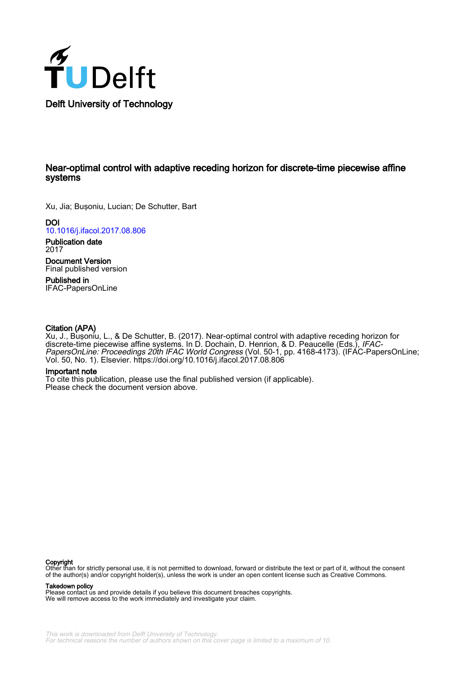

# Near-optimal control with adaptive receding horizon for discrete-time piecewise affine systems

Xu, Jia; Buşoniu, Lucian; De Schutter, Bart

**DOI** [10.1016/j.ifacol.2017.08.806](https://doi.org/10.1016/j.ifacol.2017.08.806)

Publication date 2017

Document Version Final published version

Published in IFAC-PapersOnLine

# Citation (APA)

Xu, J., Buşoniu, L., & De Schutter, B. (2017). Near-optimal control with adaptive receding horizon for discrete-time piecewise affine systems. In D. Dochain, D. Henrion, & D. Peaucelle (Eds.), IFAC-PapersOnLine: Proceedings 20th IFAC World Congress (Vol. 50-1, pp. 4168-4173). (IFAC-PapersOnLine; Vol. 50, No. 1). Elsevier.<https://doi.org/10.1016/j.ifacol.2017.08.806>

# Important note

To cite this publication, please use the final published version (if applicable). Please check the document version above.

**Copyright**<br>Other than for strictly personal use, it is not permitted to download, forward or distribute the text or part of it, without the consent of the author(s) and/or copyright holder(s), unless the work is under an open content license such as Creative Commons.

Takedown policy

Please contact us and provide details if you believe this document breaches copyrights. We will remove access to the work immediately and investigate your claim.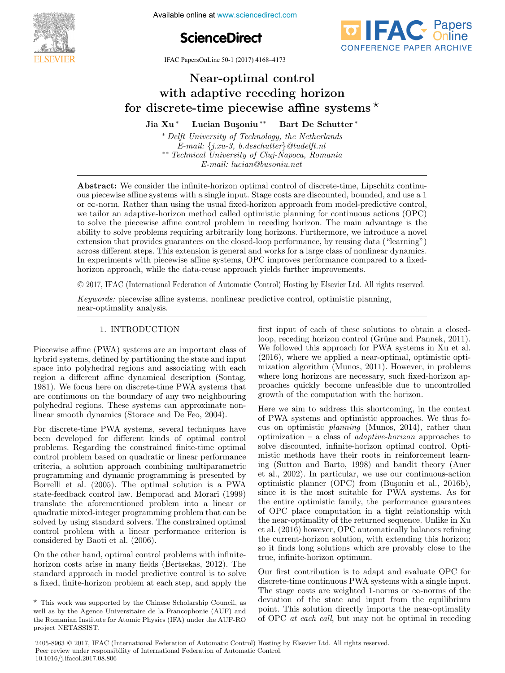

**The International Federation of Available online at www.sciencedirect.com** 





IFAC PapersOnLine 50-1 (2017) 4168–4173

# Near-optimal control with adaptive receding horizon with adaptive receding horizon<br>for discrete-time piecewise affine systems  $\star$ Jia Xu <sup>∗</sup> Lucian Bu¸soniu ∗∗ Bart De Schutter <sup>∗</sup> Jia Xu <sup>∗</sup> Lucian Bu¸soniu ∗∗ Bart De Schutter <sup>∗</sup> Near-optimal control Near-optimal control Jia Xu \* Lucian Buşoniu \*\* Bart De Schutter \*

 $E$ <sup>*-</sup>mail: {j.xu-3, b.deschutter}@tudelft.nl*</sup> *E-mail:* {*j.xu-3, b.deschutter*}*@tudelft.nl* ∗∗ *Technical University of Cluj-Napoca, Romania*  $\overline{P}$  **Delft University of Technology, the Netherlands** *E-mail:* {*j.xu-3, b.deschutter*}*@tudelft.nl* ∗∗ *Technical University of Cluj-Napoca, Romania E-mail: lucian@busoniu.net E-mail:* {*j.xu-3, b.deschutter}* @tudelft.nl<br>•∗ *Technical University of Cluj-Napoca, Romania*<br>*E-mail: lucian@busoniu.net E-mail: lucian@busoniu.net E-mail:* {*j.xu-3, b.deschutter*}*@tudelft.nl* ∗∗ *Technical University of Cluj-Napoca, Romania*

*E-mail: lucian@busoniu.net*

ous piecewise affine systems with a single input. Stage costs are discounted, bounded, and use a 1  $\alpha$  is precewise annie systems with a single input. Stage costs are discounted, bounded, and use a 1 or  $\infty$ -norm. Rather than using the usual fixed-horizon approach from model-predictive control,  $\infty$ -norm. Rather than using the usual lixed-norizon approach from model-predictive control, we tailor an adaptive-horizon method called optimistic planning for continuous actions (OPC) to solve the piecewise affine control problem in receding horizon. The main advantage is the to solve the piecewise aimie control problem in receding horizon. The main advantage is the<br>ability to solve problems requiring arbitrarily long horizons. Furthermore, we introduce a novel extension that provides guarantees on the closed-loop performance, by reusing data ("learning") across different steps. This extension is general and works for a large class of nonlinear dynamics. across unterent steps. This extension is general and works for a large class of nominear dynamics.<br>In experiments with piecewise affine systems, OPC improves performance compared to a fixed-In experiments with piecewise all the systems, Or C improves performance compared to a fixed-<br>horizon approach, while the data-reuse approach yields further improvements. Abstract: We consider the infinite-horizon optimal control of discrete-time, Lipschitz continu-*E-mail: lucian@busoniu.net* Extension that provides guarantees on the closed-loop performance, by reusing data ("learning") norizon approach, while the data-reuse approach yields further improvements.

© 2017, IFAC (International Federation of Automatic Control) Hosting by Elsevier Ltd. All rights reserved.  $\sigma$  **EVIT, IFITO** (Informational Poderation of Hatomatic Control, Hosting by Experien Plan Hatitude nd 2017, IFAC (International Federation of Automatic Control) Hosting by Elsevier Ltd.

*Keywords:* piecewise affine systems, nonlinear predictive control, optimistic planning, near-optimality analysis. near-optimality analysis. near-optimality analysis.

# 1. INTRODUCTION 1. INTRODUCTION 1. INTRODUCTION

Piecewise affine (PWA) systems are an important class of hybrid systems, defined by partitioning the state and input space into polyhedral regions and associating with each region a different affine dynamical description (Sontag, region a different affine dynamical description (Sontag, 1981). We focus here on discrete-time PWA systems that 1981). We focus here on discrete-time PWA systems that are continuous on the boundary of any two neighbouring are continuous on the boundary of any two neighbouring<br>polyhedral regions. These systems can approximate nonlinear smooth dynamics (Storace and De Feo, 2004). linear smooth dynamics (Storace and De Feo, 2004). polyhedral regions. These systems can approximate non- $F_{\text{S}}$  and the  $\omega$  system of  $\omega$  vectors discrete techniques have  $\omega$ linear smooth dynamics (Storace and De Feo, 2004).

For discrete-time PWA systems, several techniques have For discrete-time PWA systems, several techniques have been developed for different kinds of optimal control problems. Regarding the constrained finite-time optimal control control problem based on quadratic or linear performance control problem based on quadratic or linear performance criteria, a solution approach combining multiparametric eriteria, a solution approach combining multiparametric<br>programming and dynamic programming is presented by programming and dynamic programming is presented by<br>Borrelli et al. (2005). The optimal solution is a PWA  $\frac{1}{2000}$ . The optimal solution is a PWA state-feedback control law. Bemporad and Morari (1999) translate the aforementioned problem into a linear or  $t_{\text{max}}$ problem that can be discontinuously problem into a linear or quadratic mixed-integer programming problem that can be solved by using standard solvers. The constrained optimal solved by using standard solvers. The constrained optimal control problem with a linear performance criterion is control problem with a linear performance criterion is<br>considered by Baoti et al. (2006). For discrete-time PWA systems, several techniques have  $\sum_{i=1}^{n}$   $\sum_{i=1}^{n}$   $\sum_{i=1}^{n}$   $\sum_{i=1}^{n}$   $\sum_{i=1}^{n}$   $\sum_{i=1}^{n}$   $\sum_{i=1}^{n}$   $\sum_{i=1}^{n}$   $\sum_{i=1}^{n}$ considered by Baoti et al. (2006).

On the other hand, optimal control problems with infiniteborizon costs arise in many fields (Bertsekas, 2012). The standard approach in model predictive control is to solve standard approach in model predictive control is to solve<br>a fixed, finite-horizon problem at each step, and apply the On the other hand, optimal control problems with infinitea fixed, finite-horizon problem at each step, and apply the

 $\frac{1}{\sqrt{2\pi}}\left(\frac{1}{\sqrt{2\pi}}\right)^{2\sqrt{2\pi}}\left(\frac{1}{\sqrt{2\pi}}\right)^{2\sqrt{2\pi}}$ 

first input of each of these solutions to obtain a closedloop, receding horizon control (Grüne and Pannek, 2011). We followed this approach for PWA systems in Xu et al. (2016), where we applied a near-optimal, optimistic opti-(2010), where we applied a hear optimal, optimistic optimization algorithm (Munos, 2011). However, in problems where long horizons are necessary, such fixed-horizon apwhere long horizons are necessary, such fixed-horizon ap-<br>proaches quickly become unfeasible due to uncontrolled growth of the computation with the horizon. growth of the computation with the horizon. proaches quickly become unfeasible due to uncontrolled Here we aim to address this shortcoming, in the context growth of the computation with the horizon.

Here we aim to address this shortcoming, in the context nere we aim to address this shortcoming, in the context of PWA systems and optimistic approaches. We thus focus on optimistic *planning* (Munos, 2014), rather than optimization – a class of *adaptive-horizon* approaches to solve discounted, infinite-horizon optimal control. Optisolve discounted, infinite-horizon optimal control. Opti-<br>mistic methods have their roots in reinforcement learnmistic methods have their roots in reinforcement learn-<br>ing (Sutton and Barto, 1998) and bandit theory (Auer et al., 2002). In particular, we use our continuous-action  $\chi_{\text{tot}}$  is the most suitable for  $\chi_{\text{tot}}$  is the most summation optimistic planner (OPC) from (Buşoniu et al., 2016b), optimistic planner  $(OTC)$  from  $(Bu<sub>s</sub>)$ oniu et al., 2016b), since it is the most suitable for PWA systems. As for the entire optimistic family, the performance guarantees of OPC place computation in a tight relationship with the near-optimality of the returned sequence. Unlike in Xu et al. (2016) however, OPC automatically balances refining the current-horizon solution, with extending this horizon; the current-horizon solution; with extending this horizon; true, infinite-horizon optimum. true, infinite-horizon optimum. true, infinite-horizon optimum. so it finds long solutions which are provably close to the

Our first contribution is to adapt and evaluate OPC for discrete-time continuous PWA systems with a single input. The stage costs are weighted 1-norms or  $\infty$ -norms of the The stage costs are weighted 1-norms or  $\infty$  horms or the deviation of the state and input from the equilibrium point. This solution directly imports the near-optimality point. This solution directly imports the near-optimality of OPC *at each call*, but may not be optimal in receding of OPC *at each call*, but may not be optimal in receding

2405-8963 © 2017, IFAC (International Federation of Automatic Control) Hosting by Elsevier Ltd. All rights reserved. **Peer review under responsibility of International Federation of Automatic Control.**<br> **Copyright Control.** 10.1016/j.ifacol.2017.08.806

 $\overline{\star}$  This work was supported by the Chinese Scholarship Council, as This work was supported by the Chinese Scholarship Council, as<br>well as by the Agence Universitaire de la Francophonie (AUF) and the Romanian Institute for Atomic Physics (IFA) under the AUF-RO project NETASSIST. project NETASSIST. the Romanian Institute for Atomic Physics (IFA) under the AUF-RO project NETASSIST.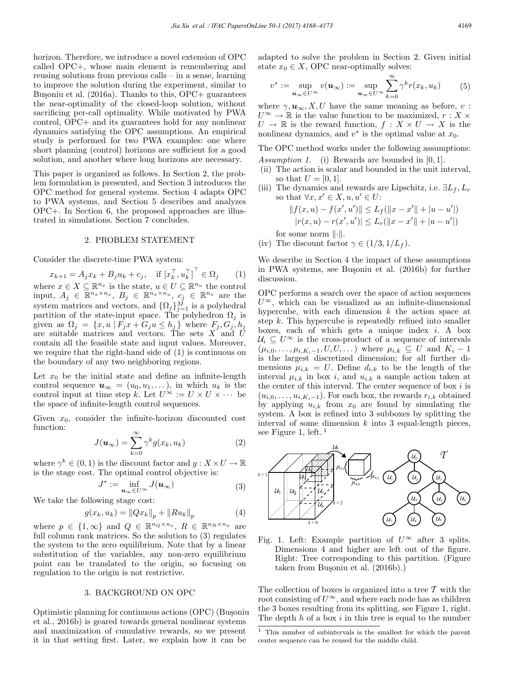horizon. Therefore, we introduce a novel extension of OPC called OPC+, whose main element is remembering and reusing solutions from previous calls – in a sense, learning to improve the solution during the experiment, similar to Bușoniu et al.  $(2016a)$ . Thanks to this, OPC+ guarantees the near-optimality of the closed-loop solution, without sacrificing per-call optimality. While motivated by PWA control, OPC+ and its guarantees hold for any nonlinear dynamics satisfying the OPC assumptions. An empirical study is performed for two PWA examples: one where short planning (control) horizons are sufficient for a good solution, and another where long horizons are necessary.

This paper is organized as follows. In Section 2, the problem formulation is presented, and Section 3 introduces the OPC method for general systems. Section 4 adapts OPC to PWA systems, and Section 5 describes and analyzes OPC+. In Section 6, the proposed approaches are illustrated in simulations. Section 7 concludes.

#### 2. PROBLEM STATEMENT

Consider the discrete-time PWA system:

 $x_{k+1} = A_j x_k + B_j u_k + c_j$ , if  $\left[x_k^{\top}, u_k^{\top}\right]^{\top} \in \Omega_j$  (1) where  $x \in X \subseteq \mathbb{R}^{n_x}$  is the state,  $u \in U \subseteq \mathbb{R}^{n_u}$  the control input,  $A_j \in \overline{\mathbb{R}^{n_x \times n_x}}, B_j \in \mathbb{R}^{n_x \times n_u}, C_j \in \mathbb{R}^{n_x}$  are the system matrices and vectors, and  $\{\Omega_j\}_{j=1}^M$  is a polyhedral partition of the state-input space. The polyhedron  $\Omega_i$  is given as  $\Omega_j = \{x, u \mid F_j x + G_j u \le h_j\}$  where  $F_j, G_j, h_j$ are suitable matrices and vectors. The sets  $X$  and  $\tilde{U}$ contain all the feasible state and input values. Moreover, we require that the right-hand side of (1) is continuous on the boundary of any two neighboring regions.

Let  $x_0$  be the initial state and define an infinite-length control sequence  $u_{\infty} = (u_0, u_1, \ldots)$ , in which  $u_k$  is the control input at time step k. Let  $U^{\infty} := U \times U \times \cdots$  be the space of infinite-length control sequences.

Given  $x_0$ , consider the infinite-horizon discounted cost function:

$$
J(\boldsymbol{u}_{\infty}) = \sum_{k=0}^{\infty} \gamma^k g(x_k, u_k)
$$
 (2)

where  $\gamma^k \in (0,1)$  is the discount factor and  $g: X \times U \to \mathbb{R}$ is the stage cost. The optimal control objective is:

$$
J^* := \inf_{\mathbf{u}_{\infty} \in U^{\infty}} J(\mathbf{u}_{\infty})
$$
 (3)

We take the following stage cost:

$$
g(x_k, u_k) = ||Qx_k||_p + ||Ru_k||_p \tag{4}
$$

where  $p \in \{1,\infty\}$  and  $Q \in \mathbb{R}^{n_Q \times n_x}$ ,  $R \in \mathbb{R}^{n_R \times n_u}$  are full column rank matrices. So the solution to (3) regulates the system to the zero equilibrium. Note that by a linear substitution of the variables, any non-zero equilibrium point can be translated to the origin, so focusing on regulation to the origin is not restrictive.

#### 3. BACKGROUND ON OPC

Optimistic planning for continuous actions (OPC) (Busoniu et al., 2016b) is geared towards general nonlinear systems and maximization of cumulative rewards, so we present it in that setting first. Later, we explain how it can be

adapted to solve the problem in Section 2. Given initial state  $x_0 \in X$ , OPC near-optimally solves:

$$
v^* := \sup_{\mathbf{u}_{\infty} \in U^{\infty}} v(\mathbf{u}_{\infty}) := \sup_{\mathbf{u}_{\infty} \in U^{\infty}} \sum_{k=0}^{\infty} \gamma^k r(x_k, u_k)
$$
(5)

where  $\gamma, \mathbf{u}_{\infty}, X, U$  have the same meaning as before, v:  $U^{\infty} \to \mathbb{R}$  is the value function to be maximized,  $r : X \times$  $U \to \mathbb{R}$  is the reward function,  $f : X \times U \to X$  is the nonlinear dynamics, and  $v^*$  is the optimal value at  $x_0$ .

The OPC method works under the following assumptions: *Assumption 1.* (i) Rewards are bounded in [0, 1].

- (ii) The action is scalar and bounded in the unit interval, so that  $U = [0, 1]$ .
- (iii) The dynamics and rewards are Lipschitz, i.e.  $\exists L_f, L_r$ so that  $\forall x, x' \in X, u, u' \in U$ :

$$
||f(x, u) - f(x', u')|| \le L_f(||x - x'|| + |u - u'|)
$$
  

$$
|r(x, u) - r(x', u')| \le L_r(||x - x'|| + |u - u'|)
$$

for some norm  $\|\cdot\|.$ 

(iv) The discount factor  $\gamma \in (1/3, 1/L_f)$ .

We describe in Section 4 the impact of these assumptions in PWA systems, see Busoniu et al. (2016b) for further discussion.

OPC performs a search over the space of action sequences  $U^{\infty}$ , which can be visualized as an infinite-dimensional hypercube, with each dimension  $k$  the action space at step k. This hypercube is repeatedly refined into smaller boxes, each of which gets a unique index  $i$ . A box  $U_i \subseteq U^{\infty}$  is the cross-product of a sequence of intervals  $(\mu_{i,0},\ldots,\mu_{i,K_i-1},U,U,\ldots)$  where  $\mu_{i,k} \subseteq U$  and  $K_i-1$ is the largest discretized dimension; for all further dimensions  $\mu_{i,k} = U$ . Define  $d_{i,k}$  to be the length of the interval  $\mu_{i,k}$  in box i, and  $u_{i,k}$  a sample action taken at the center of this interval. The center sequence of box  $i$  is  $(u_{i,0},\ldots,u_{i,K_i-1})$ . For each box, the rewards  $r_{i,k}$  obtained by applying  $u_{i,k}$  from  $x_0$  are found by simulating the system. A box is refined into 3 subboxes by splitting the interval of some dimension  $k$  into 3 equal-length pieces, see Figure 1, left.<sup>1</sup>



Fig. 1. Left: Example partition of  $U^{\infty}$  after 3 splits. Dimensions 4 and higher are left out of the figure. Right: Tree corresponding to this partition. (Figure taken from Bușoniu et al. (2016b).)

The collection of boxes is organized into a tree  $\mathcal T$  with the root consisting of  $U^{\infty}$ , and where each node has as children the 3 boxes resulting from its splitting, see Figure 1, right. The depth  $h$  of a box  $i$  in this tree is equal to the number

<sup>1</sup> This number of subintervals is the smallest for which the parent center sequence can be reused for the middle child.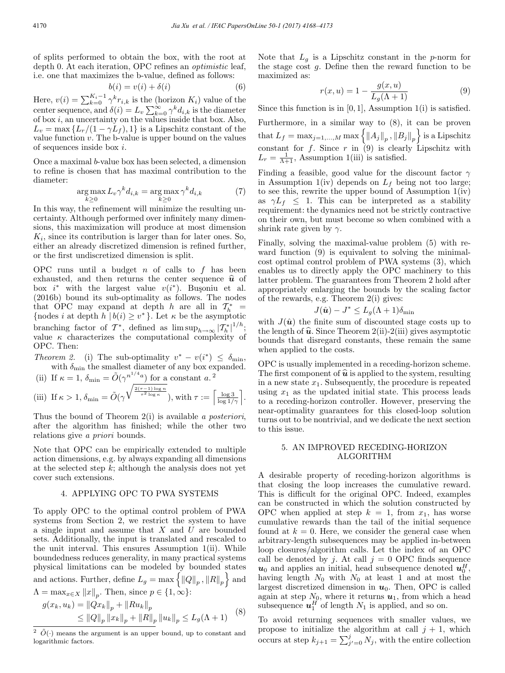of splits performed to obtain the box, with the root at depth 0. At each iteration, OPC refines an *optimistic* leaf, i.e. one that maximizes the b-value, defined as follows:

$$
b(i) = v(i) + \delta(i) \tag{6}
$$

Here,  $v(i) = \sum_{k=0}^{K_i-1} \gamma^k r_{i,k}$  is the (horizon  $K_i$ ) value of the center sequence, and  $\delta(i) = L_v \sum_{k=0}^{\infty} \gamma^k d_{i,k}$  is the diameter of box  $i$ , an uncertainty on the values inside that box. Also,  $L_v = \max\{L_r/(1-\gamma L_f), 1\}$  is a Lipschitz constant of the value function  $v$ . The b-value is upper bound on the values of sequences inside box i.

Once a maximal b-value box has been selected, a dimension to refine is chosen that has maximal contribution to the diameter:

$$
\underset{k\geq 0}{\arg\max} L_v \gamma^k d_{i,k} = \underset{k\geq 0}{\arg\max} \gamma^k d_{i,k} \tag{7}
$$

In this way, the refinement will minimize the resulting uncertainty. Although performed over infinitely many dimensions, this maximization will produce at most dimension  $K_i$ , since its contribution is larger than for later ones. So, either an already discretized dimension is refined further, or the first undiscretized dimension is split.

OPC runs until a budget  $n$  of calls to  $f$  has been exhausted, and then returns the center sequence  $\hat{u}$  of box  $i^*$  with the largest value  $v(i^*)$ . Busoniu et al. (2016b) bound its sub-optimality as follows. The nodes that OPC may expand at depth h are all in  $\mathcal{T}_h^*$  = {nodes *i* at depth  $h | b(i) \geq v^*$ }. Let  $\kappa$  be the asymptotic branching factor of  $\mathcal{T}^*$ , defined as  $\limsup_{h\to\infty} |\mathcal{T}_h^*|^{1/h}$ ; value  $\kappa$  characterizes the computational complexity of OPC. Then:

*Theorem 2.* (i) The sub-optimality  $v^* - v(i^*) \leq \delta_{\min}$ , with  $\delta_{\min}$  the smallest diameter of any box expanded.

(ii) If 
$$
\kappa = 1
$$
,  $\delta_{\min} = \tilde{O}(\gamma^{n^{1/4}a})$  for a constant a.<sup>2</sup>  
(iii) If  $\kappa > 1$ ,  $\delta_{\min} = \tilde{O}(\gamma^{\sqrt{\frac{2(\tau - 1)\log n}{\tau^2 \log \kappa}}})$ , with  $\tau := \left\lceil \frac{\log 3}{\log 1/\gamma} \right\rceil$ .

Thus the bound of Theorem 2(i) is available *a posteriori*, after the algorithm has finished; while the other two relations give *a priori* bounds.

Note that OPC can be empirically extended to multiple action dimensions, e.g. by always expanding all dimensions at the selected step  $k$ ; although the analysis does not yet cover such extensions.

#### 4. APPLYING OPC TO PWA SYSTEMS

To apply OPC to the optimal control problem of PWA systems from Section 2, we restrict the system to have a single input and assume that  $X$  and  $U$  are bounded sets. Additionally, the input is translated and rescaled to the unit interval. This ensures Assumption 1(ii). While boundedness reduces generality, in many practical systems physical limitations can be modeled by bounded states and actions. Further, define  $L_g = \max \{ ||Q||_p, ||R||_p \}$  and  $\Lambda = \max_{x \in X} ||x||_p$ . Then, since  $p \in \{1, \infty\}$ :

$$
g(x_k, u_k) = ||Qx_k||_p + ||Ru_k||_p
$$
  
\n
$$
\le ||Q||_p ||x_k||_p + ||R||_p ||u_k||_p \le L_g(\Lambda + 1)
$$
 (8)

Note that  $L_q$  is a Lipschitz constant in the p-norm for the stage cost  $g$ . Define then the reward function to be maximized as:

$$
r(x, u) = 1 - \frac{g(x, u)}{L_g(\Lambda + 1)}
$$
(9)

Since this function is in  $[0, 1]$ , Assumption 1(i) is satisfied.

Furthermore, in a similar way to (8), it can be proven that  $L_f = \max_{j=1,\ldots,M} \max \left\{ ||A_j||_p, ||B_j||_p \right\}$  is a Lipschitz constant for  $f$ . Since  $r$  in  $(9)$  is clearly Lipschitz with  $L_r = \frac{1}{\Lambda + 1}$ , Assumption 1(iii) is satisfied.

Finding a feasible, good value for the discount factor  $\gamma$ in Assumption 1(iv) depends on  $L_f$  being not too large; to see this, rewrite the upper bound of Assumption 1(iv) as  $\gamma L_f \leq 1$ . This can be interpreted as a stability requirement: the dynamics need not be strictly contractive on their own, but must become so when combined with a shrink rate given by  $\gamma$ .

Finally, solving the maximal-value problem (5) with reward function (9) is equivalent to solving the minimalcost optimal control problem of PWA systems (3), which enables us to directly apply the OPC machinery to this latter problem. The guarantees from Theorem 2 hold after appropriately enlarging the bounds by the scaling factor of the rewards, e.g. Theorem 2(i) gives:

$$
J(\hat{\boldsymbol{u}}) - J^* \le L_g(\Lambda + 1)\delta_{\min}
$$

with  $J(\hat{u})$  the finite sum of discounted stage costs up to the length of  $\hat{u}$ . Since Theorem 2(ii)-2(iii) gives asymptotic bounds that disregard constants, these remain the same when applied to the costs.

OPC is usually implemented in a receding-horizon scheme. The first component of  $\hat{u}$  is applied to the system, resulting in a new state  $x_1$ . Subsequently, the procedure is repeated using  $x_1$  as the updated initial state. This process leads to a receding-horizon controller. However, preserving the near-optimality guarantees for this closed-loop solution turns out to be nontrivial, and we dedicate the next section to this issue.

### 5. AN IMPROVED RECEDING-HORIZON ALGORITHM

A desirable property of receding-horizon algorithms is that closing the loop increases the cumulative reward. This is difficult for the original OPC. Indeed, examples can be constructed in which the solution constructed by OPC when applied at step  $k = 1$ , from  $x_1$ , has worse cumulative rewards than the tail of the initial sequence found at  $k = 0$ . Here, we consider the general case when arbitrary-length subsequences may be applied in-between loop closures/algorithm calls. Let the index of an OPC call be denoted by j. At call  $j = 0$  OPC finds sequence  $u_0$  and applies an initial, head subsequence denoted  $u_0^H$ , having length  $N_0$  with  $N_0$  at least 1 and at most the largest discretized dimension in  $u_0$ . Then, OPC is called again at step  $N_0$ , where it returns  $u_1$ , from which a head subsequence  $u_1^H$  of length  $N_1$  is applied, and so on.

To avoid returning sequences with smaller values, we propose to initialize the algorithm at call  $j + 1$ , which occurs at step  $k_{j+1} = \sum_{j'=0}^{j} N_j$ , with the entire collection

<sup>&</sup>lt;sup>2</sup>  $\tilde{O}(\cdot)$  means the argument is an upper bound, up to constant and logarithmic factors.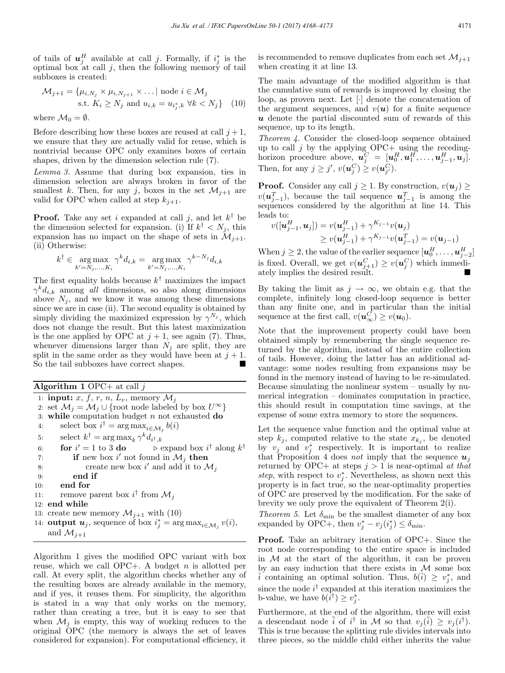of tails of  $u_j^H$  available at call j. Formally, if  $i_j^*$  is the optimal box at call  $j$ , then the following memory of tail subboxes is created:

$$
\mathcal{M}_{j+1} = \{ \mu_{i,N_j} \times \mu_{i,N_{j+1}} \times \dots | \text{ node } i \in \mathcal{M}_j
$$
  
s.t.  $K_i \ge N_j$  and  $u_{i,k} = u_{i_j^*,k} \forall k < N_j \}$  (10)

where 
$$
\mathcal{M}_0 = \emptyset
$$
.

Before describing how these boxes are reused at call  $i + 1$ . we ensure that they are actually valid for reuse, which is nontrivial because OPC only examines boxes of certain shapes, driven by the dimension selection rule (7).

*Lemma 3.* Assume that during box expansion, ties in dimension selection are always broken in favor of the smallest k. Then, for any j, boxes in the set  $\mathcal{M}_{i+1}$  are valid for OPC when called at step  $k_{j+1}$ .

**Proof.** Take any set i expanded at call i, and let  $k^{\dagger}$  be the dimension selected for expansion. (i) If  $k^{\dagger} < N_i$ , this expansion has no impact on the shape of sets in  $\mathcal{M}_{i+1}$ . (ii) Otherwise:

$$
k^{\dagger} \in \underset{k'=N_j,\dots,K_i}{\arg \max} \gamma^k d_{i,k} = \underset{k'=N_j,\dots,K_i}{\arg \max} \gamma^{k-N_j} d_{i,k}
$$

The first equality holds because  $k^{\dagger}$  maximizes the impact  $\gamma^k d_{i,k}$  among *all* dimensions, so also along dimensions above  $N_i$ , and we know it was among these dimensions since we are in case (ii). The second equality is obtained by simply dividing the maximized expression by  $\gamma^{N_j}$ , which does not change the result. But this latest maximization is the one applied by OPC at  $j + 1$ , see again (7). Thus, whenever dimensions larger than  $N_i$  are split, they are split in the same order as they would have been at  $j + 1$ . So the tail subboxes have correct shapes.

Algorithm 1 OPC+ at call  $j$ 

1: **input:** x, f, r, n,  $L_v$ , memory  $\mathcal{M}_j$ 2: set  $\mathcal{M}_j = \mathcal{M}_j \cup \{\text{root node labeled by box } U^{\infty}\}\$ 3: while computation budget  $n$  not exhausted do 4: select box  $i^{\dagger} = \arg \max_{i \in \mathcal{M}_j} b(i)$ 5: select  $k^{\dagger} = \arg \max_k \gamma^k d_{i^{\dagger},k}$ 6: for  $i'=1$  to 3 do  $\ell' = 1$  to 3 **do**  $\triangleright$  expand box  $i^{\dagger}$  along  $k^{\dagger}$ 7: **if** new box i' not found in  $\mathcal{M}_j$  then 8: create new box i' and add it to  $\mathcal{M}_j$ 9: end if 10: end for 11: remove parent box  $i^{\dagger}$  from  $\mathcal{M}_j$ 12: end while 13: create new memory  $\mathcal{M}_{j+1}$  with (10) 14: **output**  $u_j$ , sequence of box  $i_j^* = \arg \max_{i \in \mathcal{M}_j} v(i)$ , and  $\mathcal{M}_{j+1}$ 

Algorithm 1 gives the modified OPC variant with box reuse, which we call OPC+. A budget  $n$  is allotted per call. At every split, the algorithm checks whether any of the resulting boxes are already available in the memory, and if yes, it reuses them. For simplicity, the algorithm is stated in a way that only works on the memory, rather than creating a tree, but it is easy to see that when  $\mathcal{M}_i$  is empty, this way of working reduces to the original OPC (the memory is always the set of leaves considered for expansion). For computational efficiency, it

is recommended to remove duplicates from each set  $\mathcal{M}_{i+1}$ when creating it at line 13.

The main advantage of the modified algorithm is that the cumulative sum of rewards is improved by closing the loop, as proven next. Let [·] denote the concatenation of the argument sequences, and  $v(u)$  for a finite sequence  $\boldsymbol{u}$  denote the partial discounted sum of rewards of this sequence, up to its length.

*Theorem 4.* Consider the closed-loop sequence obtained up to call  $j$  by the applying OPC+ using the recedinghorizon procedure above,  $\mathbf{u}_j^C = [\mathbf{u}_0^H, \mathbf{u}_1^H, \dots, \mathbf{u}_{j-1}^H, \mathbf{u}_j].$ Then, for any  $j \geq j'$ ,  $v(\boldsymbol{u}_j^C) \geq v(\boldsymbol{u}_{j'}^C)$ .

**Proof.** Consider any call  $j \geq 1$ . By construction,  $v(u_j) \geq$  $v(\boldsymbol{u}_{j-1}^T)$ , because the tail sequence  $\boldsymbol{u}_{j-1}^T$  is among the sequences considered by the algorithm at line 14. This leads to:

$$
v([\boldsymbol{u}_{j-1}^H, \boldsymbol{u}_j]) = v(\boldsymbol{u}_{j-1}^H) + \gamma^{K_{j-1}} v(\boldsymbol{u}_j)
$$
  
\n
$$
\geq v(\boldsymbol{u}_{j-1}^H) + \gamma^{K_{j-1}} v(\boldsymbol{u}_{j-1}^T) = v(\boldsymbol{u}_{j-1})
$$

When  $j\geq 2,$  the value of the earlier sequence  $[\boldsymbol{u}_0^H,\ldots,\boldsymbol{u}_{j-2}^H]$ is fixed. Overall, we get  $v(\boldsymbol{u}_{j+1}^C) \ge v(\boldsymbol{u}_j^C)$  which immediately implies the desired result.

By taking the limit as  $j \to \infty$ , we obtain e.g. that the complete, infinitely long closed-loop sequence is better than any finite one, and in particular than the initial sequence at the first call,  $v(\boldsymbol{u}_{\infty}^{\tilde{C}}) \geq v(\boldsymbol{u}_0)$ .

Note that the improvement property could have been obtained simply by remembering the single sequence returned by the algorithm, instead of the entire collection of tails. However, doing the latter has an additional advantage: some nodes resulting from expansions may be found in the memory instead of having to be re-simulated. Because simulating the nonlinear system – usually by numerical integration – dominates computation in practice, this should result in computation time savings, at the expense of some extra memory to store the sequences.

Let the sequence value function and the optimal value at step  $k_j$ , computed relative to the state  $x_{k_j}$ , be denoted by  $v_j$  and  $v_j^*$  respectively. It is important to realize that Proposition 4 does *not* imply that the sequence  $u_j$ returned by OPC+ at steps  $j > 1$  is near-optimal *at that* step, with respect to  $v_j^*$ . Nevertheless, as shown next this property is in fact true, so the near-optimality properties of OPC are preserved by the modification. For the sake of brevity we only prove the equivalent of Theorem 2(i).

*Theorem 5.* Let  $\delta_{\min}$  be the smallest diameter of any box expanded by OPC+, then  $v_j^* - v_j(i_j^*) \leq \delta_{\min}$ .

Proof. Take an arbitrary iteration of OPC+. Since the root node corresponding to the entire space is included in  $M$  at the start of the algorithm, it can be proven by an easy induction that there exists in M some box  $\overline{i}$  containing an optimal solution. Thus,  $b(\overline{i}) \geq v_j^*$ , and since the node  $i^{\dagger}$  expanded at this iteration maximizes the b-value, we have  $b(i^{\dagger}) \geq v_j^*$ .

Furthermore, at the end of the algorithm, there will exist a descendant node  $\tilde{i}$  of  $i^{\dagger}$  in M so that  $v_j(\tilde{i}) \ge v_j(i^{\dagger})$ . This is true because the splitting rule divides intervals into three pieces, so the middle child either inherits the value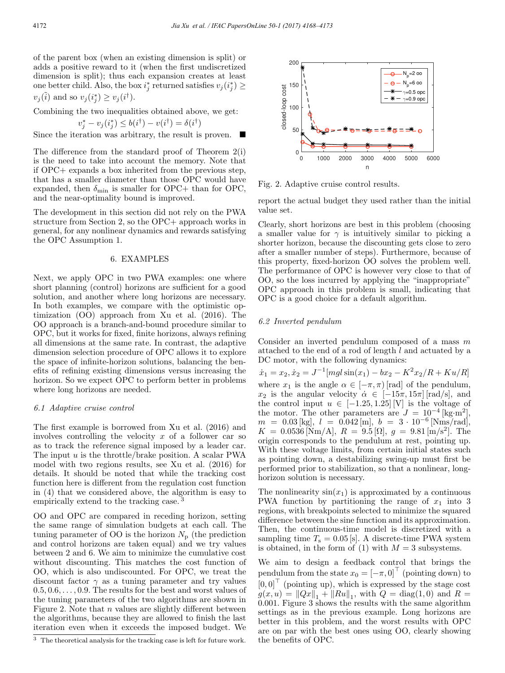of the parent box (when an existing dimension is split) or adds a positive reward to it (when the first undiscretized dimension is split); thus each expansion creates at least one better child. Also, the box  $i_j^*$  returned satisfies  $v_j(i_j^*) \geq$  $v_j(\tilde{i})$  and so  $v_j(i_j^*) \ge v_j(i^{\dagger})$ .

Combining the two inequalities obtained above, we get:  $v_j^* - v_j(i_j^*) \leq b(i^{\dagger}) - v(i^{\dagger}) = \delta(i^{\dagger})$ 

Since the iteration was arbitrary, the result is proven.  $\blacksquare$ 

The difference from the standard proof of Theorem 2(i) is the need to take into account the memory. Note that if OPC+ expands a box inherited from the previous step, that has a smaller diameter than those OPC would have expanded, then  $\delta_{\min}$  is smaller for OPC+ than for OPC, and the near-optimality bound is improved.

The development in this section did not rely on the PWA structure from Section 2, so the OPC+ approach works in general, for any nonlinear dynamics and rewards satisfying the OPC Assumption 1.

# 6. EXAMPLES

Next, we apply OPC in two PWA examples: one where short planning (control) horizons are sufficient for a good solution, and another where long horizons are necessary. In both examples, we compare with the optimistic optimization (OO) approach from Xu et al. (2016). The OO approach is a branch-and-bound procedure similar to OPC, but it works for fixed, finite horizons, always refining all dimensions at the same rate. In contrast, the adaptive dimension selection procedure of OPC allows it to explore the space of infinite-horizon solutions, balancing the benefits of refining existing dimensions versus increasing the horizon. So we expect OPC to perform better in problems where long horizons are needed.

#### *6.1 Adaptive cruise control*

The first example is borrowed from Xu et al. (2016) and involves controlling the velocity  $x$  of a follower car so as to track the reference signal imposed by a leader car. The input  $u$  is the throttle/brake position. A scalar PWA model with two regions results, see Xu et al. (2016) for details. It should be noted that while the tracking cost function here is different from the regulation cost function in (4) that we considered above, the algorithm is easy to empirically extend to the tracking case.<sup>3</sup>

OO and OPC are compared in receding horizon, setting the same range of simulation budgets at each call. The tuning parameter of  $OO$  is the horizon  $N_{\rm p}$  (the prediction and control horizons are taken equal) and we try values between 2 and 6. We aim to minimize the cumulative cost without discounting. This matches the cost function of OO, which is also undiscounted. For OPC, we treat the discount factor  $\gamma$  as a tuning parameter and try values  $0.5, 0.6, \ldots, 0.9$ . The results for the best and worst values of the tuning parameters of the two algorithms are shown in Figure 2. Note that  $n$  values are slightly different between the algorithms, because they are allowed to finish the last iteration even when it exceeds the imposed budget. We



Fig. 2. Adaptive cruise control results.

report the actual budget they used rather than the initial value set.

Clearly, short horizons are best in this problem (choosing a smaller value for  $\gamma$  is intuitively similar to picking a shorter horizon, because the discounting gets close to zero after a smaller number of steps). Furthermore, because of this property, fixed-horizon OO solves the problem well. The performance of OPC is however very close to that of OO, so the loss incurred by applying the "inappropriate" OPC approach in this problem is small, indicating that OPC is a good choice for a default algorithm.

# *6.2 Inverted pendulum*

Consider an inverted pendulum composed of a mass  $m$ attached to the end of a rod of length l and actuated by a DC motor, with the following dynamics:

$$
\dot{x}_1 = x_2, \dot{x}_2 = J^{-1}[mgl\sin(x_1) - bx_2 - K^2x_2/R + Ku/R]
$$
 where  $x_1$  is the angle  $\alpha \in [-\pi, \pi)$  [rad] of the pendulum,  $x_2$  is the angular velocity  $\dot{\alpha} \in [-15\pi, 15\pi]$  [rad/s], and the control input  $u \in [-1.25, 1.25]$  [V] is the voltage of the motor. The other parameters are  $J = 10^{-4}$  [kg·m<sup>2</sup>],  $m = 0.03$  [kg],  $l = 0.042$  [m],  $b = 3 \cdot 10^{-6}$  [Nms/rad],  $K = 0.0536$  [Nm/A],  $R = 9.5$  [Ω],  $g = 9.81$  [m/s<sup>2</sup>]. The origin corresponds to the pendulum at rest, pointing up. With these voltage limits, from certain initial states such as pointing down, a destabilizing swing-up must first be performed prior to stabilization, so that a nonlinear, long-horizon solution is necessary.

The nonlinearity  $sin(x_1)$  is approximated by a continuous PWA function by partitioning the range of  $x_1$  into 3 regions, with breakpoints selected to minimize the squared difference between the sine function and its approximation. Then, the continuous-time model is discretized with a sampling time  $T_s = 0.05$  [s]. A discrete-time PWA system is obtained, in the form of  $(1)$  with  $M = 3$  subsystems.

We aim to design a feedback control that brings the pendulum from the state  $x_0 = [-\pi, 0]^\top$  (pointing down) to  $[0, 0]^\top$  (pointing up), which is expressed by the stage cost  $g(x, u) = ||Qx||_1 + ||Ru||_1$ , with  $Q = \text{diag}(1, 0)$  and  $R =$ 0.001. Figure 3 shows the results with the same algorithm settings as in the previous example. Long horizons are better in this problem, and the worst results with OPC are on par with the best ones using OO, clearly showing the benefits of OPC.

 $^3\,$  The theoretical analysis for the tracking case is left for future work.